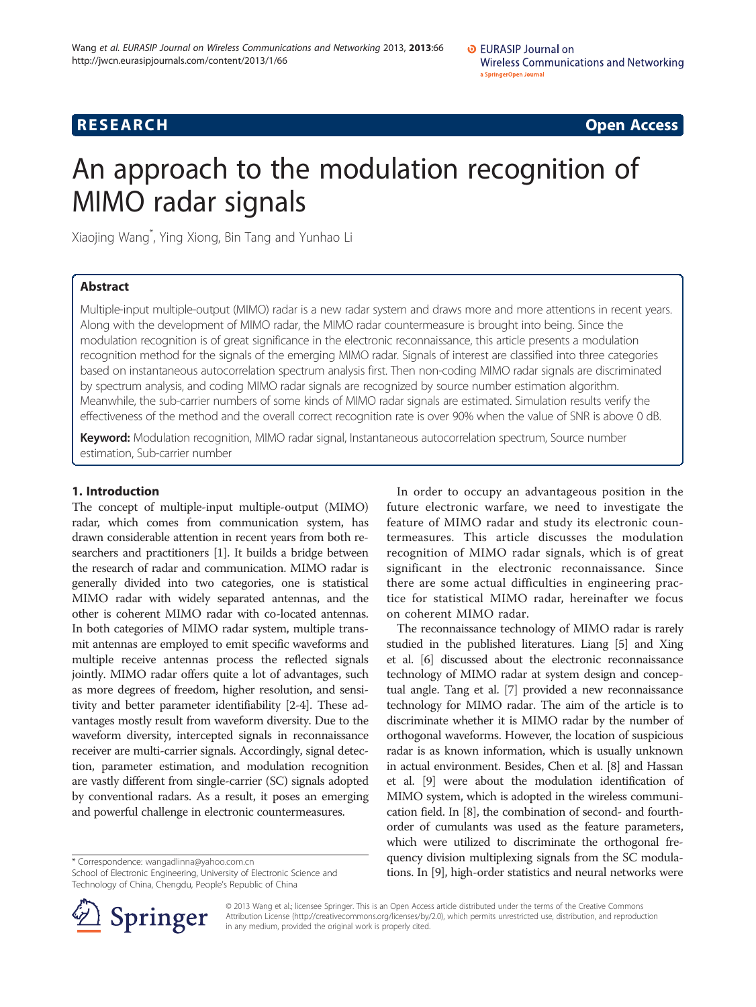## **RESEARCH RESEARCH CONSUMING ACCESS**

# An approach to the modulation recognition of MIMO radar signals

Xiaojing Wang\* , Ying Xiong, Bin Tang and Yunhao Li

## Abstract

Multiple-input multiple-output (MIMO) radar is a new radar system and draws more and more attentions in recent years. Along with the development of MIMO radar, the MIMO radar countermeasure is brought into being. Since the modulation recognition is of great significance in the electronic reconnaissance, this article presents a modulation recognition method for the signals of the emerging MIMO radar. Signals of interest are classified into three categories based on instantaneous autocorrelation spectrum analysis first. Then non-coding MIMO radar signals are discriminated by spectrum analysis, and coding MIMO radar signals are recognized by source number estimation algorithm. Meanwhile, the sub-carrier numbers of some kinds of MIMO radar signals are estimated. Simulation results verify the effectiveness of the method and the overall correct recognition rate is over 90% when the value of SNR is above 0 dB.

Keyword: Modulation recognition, MIMO radar signal, Instantaneous autocorrelation spectrum, Source number estimation, Sub-carrier number

## 1. Introduction

The concept of multiple-input multiple-output (MIMO) radar, which comes from communication system, has drawn considerable attention in recent years from both researchers and practitioners [\[1\]](#page-9-0). It builds a bridge between the research of radar and communication. MIMO radar is generally divided into two categories, one is statistical MIMO radar with widely separated antennas, and the other is coherent MIMO radar with co-located antennas. In both categories of MIMO radar system, multiple transmit antennas are employed to emit specific waveforms and multiple receive antennas process the reflected signals jointly. MIMO radar offers quite a lot of advantages, such as more degrees of freedom, higher resolution, and sensitivity and better parameter identifiability [\[2-4](#page-9-0)]. These advantages mostly result from waveform diversity. Due to the waveform diversity, intercepted signals in reconnaissance receiver are multi-carrier signals. Accordingly, signal detection, parameter estimation, and modulation recognition are vastly different from single-carrier (SC) signals adopted by conventional radars. As a result, it poses an emerging and powerful challenge in electronic countermeasures.

\* Correspondence: [wangadlinna@yahoo.com.cn](mailto:wangadlinna@yahoo.com.cn)

School of Electronic Engineering, University of Electronic Science and Technology of China, Chengdu, People's Republic of China



The reconnaissance technology of MIMO radar is rarely studied in the published literatures. Liang [\[5](#page-9-0)] and Xing et al. [\[6\]](#page-10-0) discussed about the electronic reconnaissance technology of MIMO radar at system design and conceptual angle. Tang et al. [\[7](#page-10-0)] provided a new reconnaissance technology for MIMO radar. The aim of the article is to discriminate whether it is MIMO radar by the number of orthogonal waveforms. However, the location of suspicious radar is as known information, which is usually unknown in actual environment. Besides, Chen et al. [\[8\]](#page-10-0) and Hassan et al. [[9\]](#page-10-0) were about the modulation identification of MIMO system, which is adopted in the wireless communication field. In [[8\]](#page-10-0), the combination of second- and fourthorder of cumulants was used as the feature parameters, which were utilized to discriminate the orthogonal frequency division multiplexing signals from the SC modulations. In [[9\]](#page-10-0), high-order statistics and neural networks were



© 2013 Wang et al.; licensee Springer. This is an Open Access article distributed under the terms of the Creative Commons Attribution License [\(http://creativecommons.org/licenses/by/2.0\)](http://creativecommons.org/licenses/by/2.0), which permits unrestricted use, distribution, and reproduction in any medium, provided the original work is properly cited.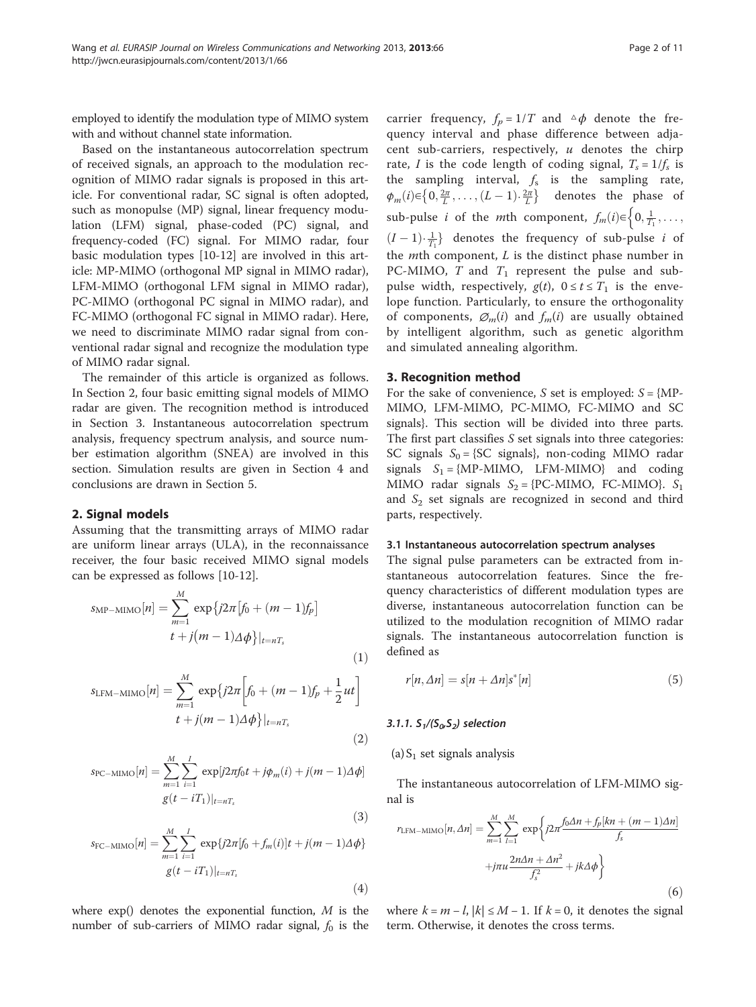<span id="page-1-0"></span>employed to identify the modulation type of MIMO system with and without channel state information.

Based on the instantaneous autocorrelation spectrum of received signals, an approach to the modulation recognition of MIMO radar signals is proposed in this article. For conventional radar, SC signal is often adopted, such as monopulse (MP) signal, linear frequency modulation (LFM) signal, phase-coded (PC) signal, and frequency-coded (FC) signal. For MIMO radar, four basic modulation types [\[10-12](#page-10-0)] are involved in this article: MP-MIMO (orthogonal MP signal in MIMO radar), LFM-MIMO (orthogonal LFM signal in MIMO radar), PC-MIMO (orthogonal PC signal in MIMO radar), and FC-MIMO (orthogonal FC signal in MIMO radar). Here, we need to discriminate MIMO radar signal from conventional radar signal and recognize the modulation type of MIMO radar signal.

The remainder of this article is organized as follows. In Section 2, four basic emitting signal models of MIMO radar are given. The recognition method is introduced in Section 3. Instantaneous autocorrelation spectrum analysis, frequency spectrum analysis, and source number estimation algorithm (SNEA) are involved in this section. Simulation results are given in Section [4](#page-8-0) and conclusions are drawn in Section [5](#page-9-0).

#### 2. Signal models

Assuming that the transmitting arrays of MIMO radar are uniform linear arrays (ULA), in the reconnaissance receiver, the four basic received MIMO signal models can be expressed as follows [\[10-12](#page-10-0)].

$$
s_{\text{MP-MIMO}}[n] = \sum_{m=1}^{M} \exp\{j2\pi[f_0 + (m-1)f_p] + j(m-1)\Delta\phi\}|_{t=nT_s}
$$
\n(1)

$$
s_{\text{LFM-MIMO}}[n] = \sum_{m=1}^{M} \exp\{j2\pi \left[ f_0 + (m-1)f_p + \frac{1}{2}ut \right] + j(m-1)\Delta\phi \}|_{t=nT_s}
$$
\n(2)

$$
s_{\text{PC-MIMO}}[n] = \sum_{m=1}^{M} \sum_{i=1}^{I} \exp[j2\pi f_0 t + j\phi_m(i) + j(m-1)\Delta\phi]
$$

$$
g(t - iT_1)|_{t = nT_s}
$$

$$
s_{\text{FC-MIMO}}[n] = \sum_{m=1}^{M} \sum_{i=1}^{I} \exp\{j2\pi[f_0 + f_m(i)]t + j(m-1)\Delta\phi\}
$$

$$
g(t - iT_1)|_{t=nT_s}
$$
(4)

where  $exp()$  denotes the exponential function,  $M$  is the number of sub-carriers of MIMO radar signal,  $f_0$  is the

carrier frequency,  $f_p = 1/T$  and  $\Delta \phi$  denote the frequency interval and phase difference between adjacent sub-carriers, respectively, u denotes the chirp rate, I is the code length of coding signal,  $T_s = 1/f_s$  is rate, I is the code length of coding signal,  $T_s = 1/f_s$  is<br>the sampling interval f is the sampling rate the sampling interval,  $f_s$  is the sampling rate,<br>  $\left( f \right) \leq \left( 0, \frac{2\pi}{3} \right)$  (*t* 1)  $\left( \frac{2\pi}{3} \right)$  denotes the phase of  $\varphi_m(i) \in \left\{0, \frac{2\pi}{L}, \ldots, (L-1) \cdot \frac{2\pi}{L}\right\}$  denotes the phase of sub-pulse *i* of the *m*th component,  $f_m(i) \in \left\{0, \frac{1}{T_1}, \dots, \frac{1}{T_m(i)}\right\}$  $(I-1) \cdot \frac{1}{I_1}$  denotes the frequency of sub-pulse *i* of the *m*th component, *L* is the distinct phase number in<br>PC-MIMO  $T$  and  $T$  represent the pulse and sub-PC-MIMO, T and  $T_1$  represent the pulse and subpulse width, respectively,  $g(t)$ ,  $0 \le t \le T_1$  is the envelope function. Particularly, to ensure the orthogonality of components,  $\mathcal{Q}_m(i)$  and  $f_m(i)$  are usually obtained by intelligent algorithm, such as genetic algorithm and simulated annealing algorithm.

#### 3. Recognition method

For the sake of convenience, S set is employed:  $S = \{MP - \}$ MIMO, LFM-MIMO, PC-MIMO, FC-MIMO and SC signals}. This section will be divided into three parts. The first part classifies  $S$  set signals into three categories: SC signals  $S_0 = \{SC \text{ signals}\}\$ , non-coding MIMO radar signals  $S_1 = \{MP\text{-MIMO}, \text{LFM-MIMO}\}$  and coding MIMO radar signals  $S_2 = {PC-MIMO, FC-MIMO}.$   $S_1$ and  $S_2$  set signals are recognized in second and third parts, respectively.

#### 3.1 Instantaneous autocorrelation spectrum analyses

The signal pulse parameters can be extracted from instantaneous autocorrelation features. Since the frequency characteristics of different modulation types are diverse, instantaneous autocorrelation function can be utilized to the modulation recognition of MIMO radar signals. The instantaneous autocorrelation function is defined as

$$
r[n, \Delta n] = s[n + \Delta n]s^*[n] \tag{5}
$$

#### 3.1.1.  $S_1/(S_0, S_2)$  selection

#### (a)  $S_1$  set signals analysis

 $(3)$ 

The instantaneous autocorrelation of LFM-MIMO signal is

$$
r_{\text{LFM-MIMO}}[n,\Delta n] = \sum_{m=1}^{M} \sum_{l=1}^{M} \exp\left\{ j2\pi \frac{f_0\Delta n + f_p[kn + (m-1)\Delta n]}{f_s} + j\pi u \frac{2n\Delta n + \Delta n^2}{f_s^2} + jk\Delta\phi \right\}
$$
\n(6)

where  $k = m - l$ ,  $|k| \le M - 1$ . If  $k = 0$ , it denotes the signal term Otherwise, it denotes the cross terms term. Otherwise, it denotes the cross terms.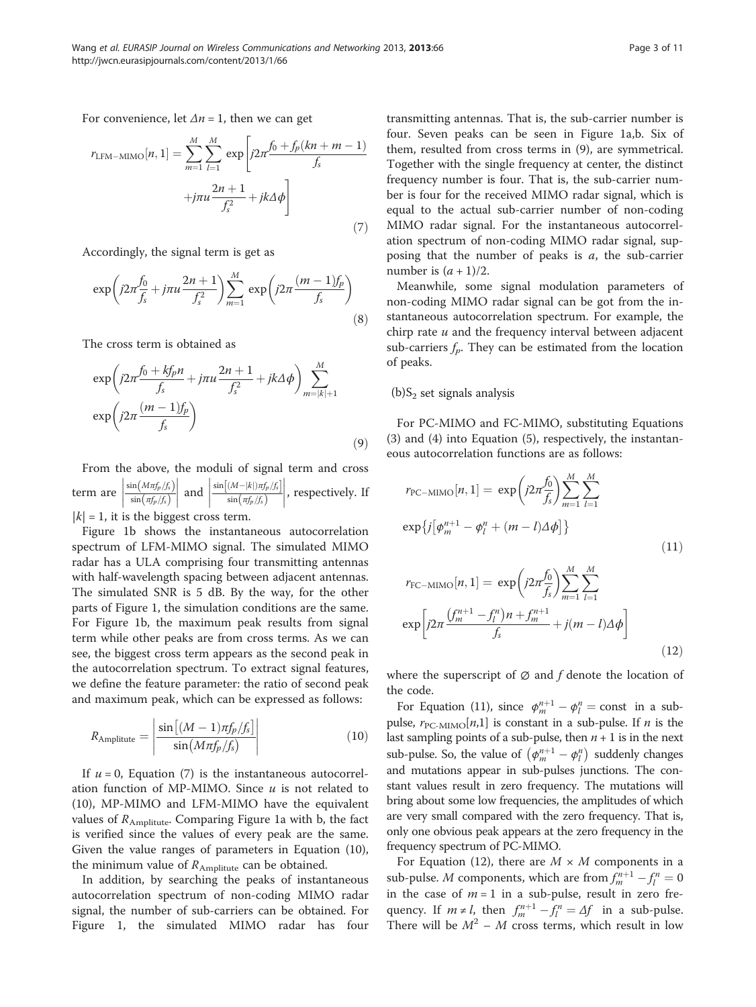<span id="page-2-0"></span>For convenience, let  $\Delta n = 1$ , then we can get

$$
r_{\text{LFM-MIMO}}[n,1] = \sum_{m=1}^{M} \sum_{l=1}^{M} \exp\left[j2\pi \frac{f_0 + f_p(kn + m - 1)}{f_s} + j\pi u \frac{2n + 1}{f_s^2} + jk\Delta \phi\right]
$$
\n(7)

Accordingly, the signal term is get as

$$
\exp\left(j2\pi\frac{f_0}{f_s} + j\pi u \frac{2n+1}{f_s^2}\right) \sum_{m=1}^{M} \exp\left(j2\pi \frac{(m-1)f_p}{f_s}\right)
$$
\n(8)

The cross term is obtained as

$$
\exp\left(j2\pi\frac{f_0 + kf_p n}{f_s} + j\pi u \frac{2n+1}{f_s^2} + jk\Delta\phi\right) \sum_{m=|k|+1}^{M} \exp\left(j2\pi\frac{(m-1)f_p}{f_s}\right)
$$
\n
$$
(9)
$$

From the above, the moduli of signal term and cross term are  $\frac{\sin(M\pi f_p/f_s)}{\sin(\pi f_s/f_s)}$  $\sin\left(\frac{\pi f_p}{f_s}\right)$ <br>the big  $\begin{array}{c} \n\end{array}$  $\begin{array}{c} \begin{array}{c} \begin{array}{c} \end{array} \\ \begin{array}{c} \end{array} \end{array} \end{array}$ and  $\frac{\sin[(M-|k|)\pi f_p/f_s]}{\sin(\pi f_n/f_s)}$  $\sin\left(\frac{\pi f_p}{f_s}\right)$  $\begin{array}{c} \hline \end{array}$  $\begin{array}{c} \begin{array}{c} \begin{array}{c} \end{array} \\ \begin{array}{c} \end{array} \end{array} \end{array}$ , respectively. If  $|k| = 1$ , it is the biggest cross term.

Figure [1](#page-3-0)b shows the instantaneous autocorrelation spectrum of LFM-MIMO signal. The simulated MIMO radar has a ULA comprising four transmitting antennas with half-wavelength spacing between adjacent antennas. The simulated SNR is 5 dB. By the way, for the other parts of Figure [1](#page-3-0), the simulation conditions are the same. For Figure [1b](#page-3-0), the maximum peak results from signal term while other peaks are from cross terms. As we can see, the biggest cross term appears as the second peak in the autocorrelation spectrum. To extract signal features, we define the feature parameter: the ratio of second peak and maximum peak, which can be expressed as follows:

$$
R_{Amplitude} = \left| \frac{\sin \left[ (M-1)\pi f_p/f_s \right]}{\sin \left( M \pi f_p/f_s \right)} \right| \tag{10}
$$

If  $u = 0$ , Equation (7) is the instantaneous autocorrelation function of MP-MIMO. Since  $u$  is not related to (10), MP-MIMO and LFM-MIMO have the equivalent values of  $R_{Amplitude}$ . Comparing Figure [1a](#page-3-0) with b, the fact is verified since the values of every peak are the same. Given the value ranges of parameters in Equation (10), the minimum value of  $R_{Amplitude}$  can be obtained.

In addition, by searching the peaks of instantaneous autocorrelation spectrum of non-coding MIMO radar signal, the number of sub-carriers can be obtained. For Figure [1](#page-3-0), the simulated MIMO radar has four transmitting antennas. That is, the sub-carrier number is four. Seven peaks can be seen in Figure [1a](#page-3-0),b. Six of them, resulted from cross terms in (9), are symmetrical. Together with the single frequency at center, the distinct frequency number is four. That is, the sub-carrier number is four for the received MIMO radar signal, which is equal to the actual sub-carrier number of non-coding MIMO radar signal. For the instantaneous autocorrelation spectrum of non-coding MIMO radar signal, supposing that the number of peaks is  $a$ , the sub-carrier number is  $(a + 1)/2$ .

Meanwhile, some signal modulation parameters of non-coding MIMO radar signal can be got from the instantaneous autocorrelation spectrum. For example, the chirp rate  $u$  and the frequency interval between adjacent sub-carriers  $f_p$ . They can be estimated from the location of peaks.

#### $(b)S<sub>2</sub>$  set signals analysis

For PC-MIMO and FC-MIMO, substituting Equations ([3\)](#page-1-0) and ([4\)](#page-1-0) into Equation ([5\)](#page-1-0), respectively, the instantaneous autocorrelation functions are as follows:

$$
r_{\text{PC-MIMO}}[n,1] = \exp\left(j2\pi \frac{f_0}{f_s}\right) \sum_{m=1}^{M} \sum_{l=1}^{M}
$$

$$
\exp\{j\left[\phi_m^{n+1} - \phi_l^n + (m-l)\Delta\phi\right]\}
$$
(11)

$$
r_{\text{FC-MIMO}}[n,1] = \exp\left(j2\pi \frac{f_0}{f_s}\right) \sum_{m=1}^{M} \sum_{l=1}^{M}
$$

$$
\exp\left[j2\pi \frac{\left(f_m^{n+1} - f_l^n\right)n + f_m^{n+1}}{f_s} + j(m-l)\Delta\phi\right]
$$
(12)

where the superscript of  $\varnothing$  and f denote the location of the code.

For Equation ([11](#page-3-0)), since  $\phi_m^{n+1} - \phi_l^n = \text{const}$  in a subpulse,  $r_{\text{PC-MIMO}}[n,1]$  is constant in a sub-pulse. If *n* is the last sampling points of a sub-pulse, then  $n + 1$  is in the next sub-pulse. So, the value of  $(\varphi_m^{n+1} - \varphi_l^n)$  suddenly changes<br>and mutations appear in sub-pulses iunctions. The son and mutations appear in sub-pulses junctions. The constant values result in zero frequency. The mutations will bring about some low frequencies, the amplitudes of which are very small compared with the zero frequency. That is, only one obvious peak appears at the zero frequency in the frequency spectrum of PC-MIMO.

For Equation (12), there are  $M \times M$  components in a sub-pulse. M components, which are from  $f_m^{n+1} - f_l^n = 0$ <br>in the case of  $m - 1$  in a sub-pulse result in zero free in the case of  $m = 1$  in a sub-pulse, result in zero frequency. If  $m \neq l$ , then  $f_n^{n+1} - f_l^n = \Delta f$  in a sub-pulse.<br>There will be  $M^2$ . M cross terms, which result in low There will be  $M^2$  – M cross terms, which result in low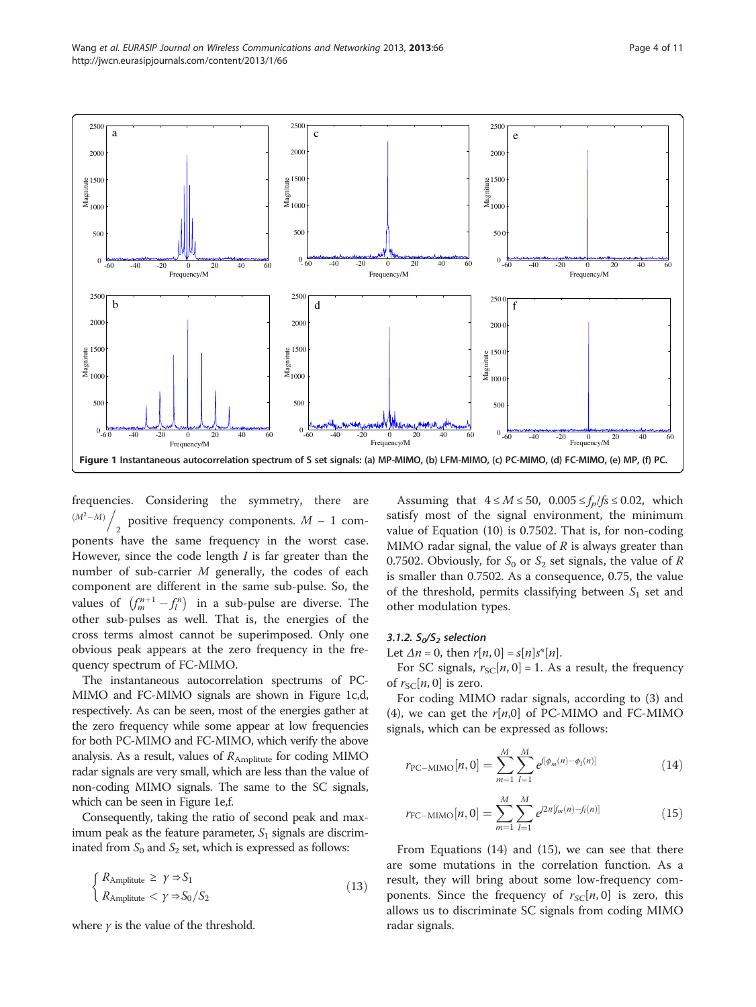<span id="page-3-0"></span>

frequencies. Considering the symmetry, there are  $\binom{(M^2-M)}{2}$  positive frequency components.  $M-1$  components have the same frequency in the worst case. However, since the code length  $I$  is far greater than the number of sub-carrier M generally, the codes of each component are different in the same sub-pulse. So, the values of  $\left(\begin{matrix} f^{n+1} - f^{n} \\ m \end{matrix}\right)$  in a sub-pulse are diverse. The original state of the original state of the original state of the original state of the original state of the original state of the original state of other sub-pulses as well. That is, the energies of the cross terms almost cannot be superimposed. Only one obvious peak appears at the zero frequency in the frequency spectrum of FC-MIMO.

The instantaneous autocorrelation spectrums of PC-MIMO and FC-MIMO signals are shown in Figure 1c,d, respectively. As can be seen, most of the energies gather at the zero frequency while some appear at low frequencies for both PC-MIMO and FC-MIMO, which verify the above analysis. As a result, values of  $R_{Amplitude}$  for coding MIMO radar signals are very small, which are less than the value of non-coding MIMO signals. The same to the SC signals, which can be seen in Figure 1e,f.

Consequently, taking the ratio of second peak and maximum peak as the feature parameter,  $S_1$  signals are discriminated from  $S_0$  and  $S_2$  set, which is expressed as follows:

$$
\begin{cases}\nR_{\text{Amplitude}} \geq \gamma \Rightarrow S_1 \\
R_{\text{Amplitude}} < \gamma \Rightarrow S_0 / S_2\n\end{cases} \tag{13}
$$

where  $\gamma$  is the value of the threshold.

Assuming that  $4 \le M \le 50$ ,  $0.005 \le f_p/f_s \le 0.02$ , which satisfy most of the signal environment, the minimum value of Equation ([10\)](#page-2-0) is 0.7502. That is, for non-coding MIMO radar signal, the value of  $R$  is always greater than 0.7502. Obviously, for  $S_0$  or  $S_2$  set signals, the value of R is smaller than 0.7502. As a consequence, 0.75, the value of the threshold, permits classifying between  $S_1$  set and other modulation types.

#### 3.1.2.  $S_0/S_2$  selection

Let  $\Delta n = 0$ , then  $r[n, 0] = s[n]s^{*}[n]$ .

For SC signals,  $r_{\text{SC}}[n, 0] = 1$ . As a result, the frequency of  $r_{\rm SC}[n, 0]$  is zero.

For coding MIMO radar signals, according to ([3\)](#page-1-0) and ([4\)](#page-1-0), we can get the  $r[n,0]$  of PC-MIMO and FC-MIMO signals, which can be expressed as follows:

$$
r_{\text{PC-MIMO}}[n,0] = \sum_{m=1}^{M} \sum_{l=1}^{M} e^{j[\phi_m(n) - \phi_l(n)]} \tag{14}
$$

$$
r_{\text{FC-MIMO}}[n,0] = \sum_{m=1}^{M} \sum_{l=1}^{M} e^{j2\pi [f_m(n) - f_l(n)]}
$$
(15)

From Equations (14) and (15), we can see that there are some mutations in the correlation function. As a result, they will bring about some low-frequency components. Since the frequency of  $r_{\rm SC}[n, 0]$  is zero, this allows us to discriminate SC signals from coding MIMO radar signals.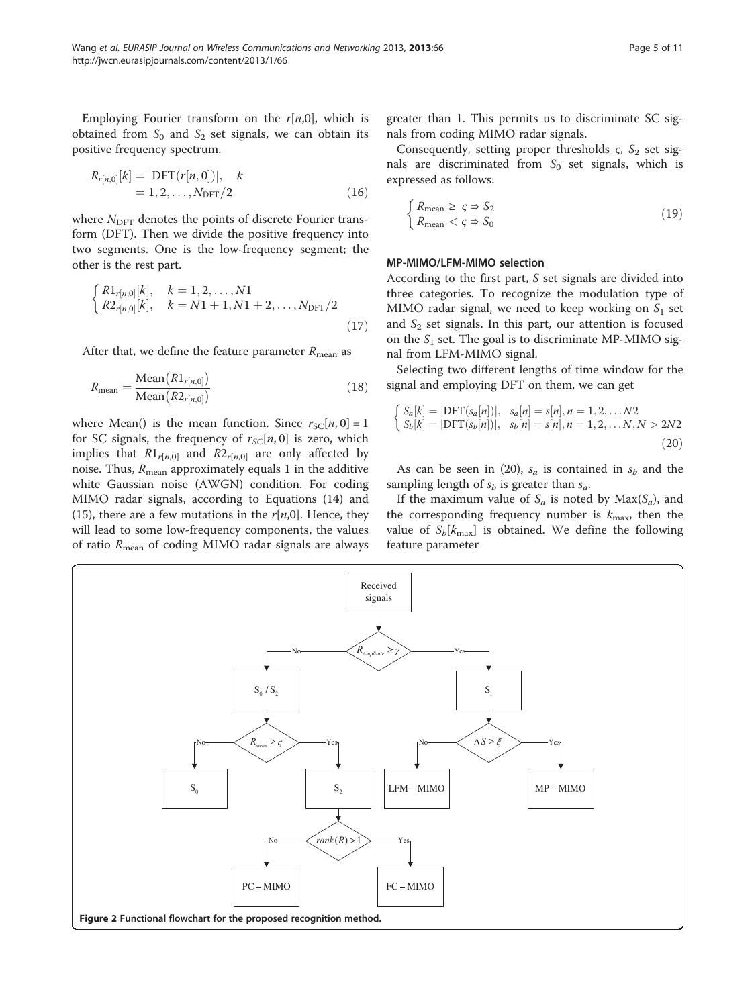<span id="page-4-0"></span>Employing Fourier transform on the  $r[n,0]$ , which is obtained from  $S_0$  and  $S_2$  set signals, we can obtain its positive frequency spectrum.

$$
R_{r[n,0]}[k] = |\text{DFT}(r[n,0])|, \quad k
$$
  
= 1, 2, ..., N<sub>DFT</sub>/2 (16)

where  $N<sub>DFT</sub>$  denotes the points of discrete Fourier transform (DFT). Then we divide the positive frequency into two segments. One is the low-frequency segment; the other is the rest part.

$$
\begin{cases} R1_{r[n,0]}[k], & k = 1, 2, ..., N1\\ R2_{r[n,0]}[k], & k = N1 + 1, N1 + 2, ..., N_{\text{DFT}}/2 \end{cases}
$$
(17)

After that, we define the feature parameter  $R_{\text{mean}}$  as

$$
R_{\text{mean}} = \frac{\text{Mean}(R1_{r[n,0]})}{\text{Mean}(R2_{r[n,0]})}
$$
(18)

where Mean() is the mean function. Since  $r_{SC}[n, 0] = 1$ for SC signals, the frequency of  $r_{SC}[n, 0]$  is zero, which implies that  $R1_{r[n,0]}$  and  $R2_{r[n,0]}$  are only affected by noise. Thus,  $R_{\text{mean}}$  approximately equals 1 in the additive white Gaussian noise (AWGN) condition. For coding MIMO radar signals, according to Equations ([14](#page-3-0)) and (15), there are a few mutations in the  $r[n,0]$ . Hence, they will lead to some low-frequency components, the values of ratio  $R_{\text{mean}}$  of coding MIMO radar signals are always greater than 1. This permits us to discriminate SC signals from coding MIMO radar signals.

Consequently, setting proper thresholds  $\varsigma$ ,  $S_2$  set signals are discriminated from  $S_0$  set signals, which is expressed as follows:

$$
\begin{cases} R_{\text{mean}} \geq \varsigma \Rightarrow S_2\\ R_{\text{mean}} < \varsigma \Rightarrow S_0 \end{cases} \tag{19}
$$

#### MP-MIMO/LFM-MIMO selection

According to the first part, S set signals are divided into three categories. To recognize the modulation type of MIMO radar signal, we need to keep working on  $S_1$  set and  $S_2$  set signals. In this part, our attention is focused on the  $S_1$  set. The goal is to discriminate MP-MIMO signal from LFM-MIMO signal.

Selecting two different lengths of time window for the signal and employing DFT on them, we can get

$$
\begin{cases}\nS_a[k] = |\text{DFT}(s_a[n])|, & s_a[n] = s[n], n = 1, 2, \dots N2 \\
S_b[k] = |\text{DFT}(s_b[n])|, & s_b[n] = s[n], n = 1, 2, \dots N, N > 2N2\n\end{cases}\n\tag{20}
$$

As can be seen in (20),  $s_a$  is contained in  $s_b$  and the sampling length of  $s_b$  is greater than  $s_a$ .

If the maximum value of  $S_a$  is noted by  $Max(S_a)$ , and the corresponding frequency number is  $k_{\text{max}}$ , then the value of  $S_b[k_{\text{max}}]$  is obtained. We define the following feature parameter

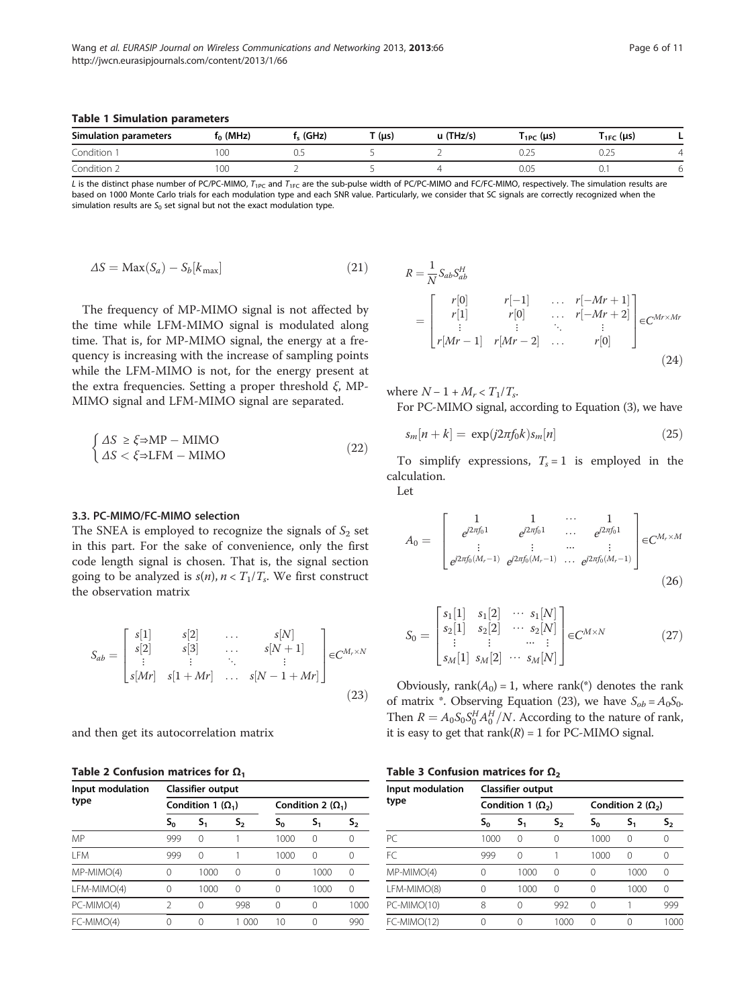#### <span id="page-5-0"></span>Table 1 Simulation parameters

| <b>Simulation parameters</b> | $f_0$ (MHz) | (GHz) | <b>τ</b> (μs) | u (THz/s) | $\mathsf{T}_{1\mathsf{PC}}$ (µs). | Γ <sub>1FC</sub> (μs) |  |
|------------------------------|-------------|-------|---------------|-----------|-----------------------------------|-----------------------|--|
| Condition 1                  | $\sim$<br>w | ◡.◡   |               |           | ◡.∠.                              | U.ZJ                  |  |
| Condition 2                  | 100         |       |               |           | 0.05                              | $\cup$ . 1            |  |

L is the distinct phase number of PC/PC-MIMO,  $T_{1PC}$  and  $T_{1FC}$  are the sub-pulse width of PC/PC-MIMO and FC/FC-MIMO, respectively. The simulation results are based on 1000 Monte Carlo trials for each modulation type and each SNR value. Particularly, we consider that SC signals are correctly recognized when the simulation results are  $S_0$  set signal but not the exact modulation type.

$$
\Delta S = \text{Max}(S_a) - S_b[k_{\text{max}}] \tag{21}
$$

The frequency of MP-MIMO signal is not affected by the time while LFM-MIMO signal is modulated along time. That is, for MP-MIMO signal, the energy at a frequency is increasing with the increase of sampling points while the LFM-MIMO is not, for the energy present at the extra frequencies. Setting a proper threshold  $ξ$ , MP-MIMO signal and LFM-MIMO signal are separated.

$$
\begin{cases}\n\Delta S \ge \xi \Rightarrow MP - MIMO \\
\Delta S < \xi \Rightarrow LFM - MIMO\n\end{cases} \tag{22}
$$

#### 3.3. PC-MIMO/FC-MIMO selection

The SNEA is employed to recognize the signals of  $S_2$  set in this part. For the sake of convenience, only the first code length signal is chosen. That is, the signal section going to be analyzed is  $s(n)$ ,  $n < T_1/T_s$ . We first construct the observation matrix

$$
S_{ab} = \begin{bmatrix} s[1] & s[2] & \dots & s[N] \\ s[2] & s[3] & \dots & s[N+1] \\ \vdots & \vdots & \ddots & \vdots \\ s[Mr] & s[1+Mr] & \dots & s[N-1+Mr] \end{bmatrix} \in C^{M_r \times N}
$$
\n(23)

and then get its autocorrelation matrix

|  |  | Table 2 Confusion matrices for $\Omega_1$ |  |  |  |
|--|--|-------------------------------------------|--|--|--|
|--|--|-------------------------------------------|--|--|--|

| Input modulation | <b>Classifier output</b> |          |                |                          |      |         |  |
|------------------|--------------------------|----------|----------------|--------------------------|------|---------|--|
| type             | Condition 1 $(\Omega_1)$ |          |                | Condition 2 $(\Omega_1)$ |      |         |  |
|                  | S <sub>o</sub>           | s,       | S <sub>2</sub> | S <sub>0</sub>           | S1   | $S_{2}$ |  |
| MP               | 999                      | 0        |                | 1000                     | 0    | Ω       |  |
| <b>LFM</b>       | 999                      | $\Omega$ |                | 1000                     | ∩    | Λ       |  |
| $MP-MIMO(4)$     | Λ                        | 1000     | 0              | $\left( \right)$         | 1000 | 0       |  |
| LFM-MIMO(4)      | $^{(1)}$                 | 1000     | 0              | $\left( \right)$         | 1000 | ∩       |  |
| PC-MIMO(4)       | 2                        | Ω        | 998            | 0                        |      | 1000    |  |
| FC-MIMO(4)       | Ω                        | 0        | 000            | 10                       |      | 990     |  |

$$
R = \frac{1}{N} S_{ab} S_{ab}^H
$$
  
= 
$$
\begin{bmatrix} r[0] & r[-1] & \cdots & r[-Mr+1] \\ r[1] & r[0] & \cdots & r[-Mr+2] \\ \vdots & \vdots & \ddots & \vdots \\ r[Mr-1] & r[Mr-2] & \cdots & r[0] \end{bmatrix} \in C^{Mr \times Mr}
$$
  
(24)

where  $N - 1 + M_r < T_1/T_s$ .

For PC-MIMO signal, according to Equation [\(3\)](#page-1-0), we have

$$
s_m[n+k] = \exp(j2\pi f_0 k)s_m[n] \tag{25}
$$

To simplify expressions,  $T_s = 1$  is employed in the calculation.

Let

$$
A_0 = \begin{bmatrix} 1 & 1 & \cdots & 1 \\ e^{j2\pi f_0 1} & e^{j2\pi f_0 1} & \cdots & e^{j2\pi f_0 1} \\ \vdots & \vdots & \cdots & \vdots \\ e^{j2\pi f_0 (M_r - 1)} & e^{j2\pi f_0 (M_r - 1)} & \cdots & e^{j2\pi f_0 (M_r - 1)} \end{bmatrix} \in C^{M_r \times M}
$$
\n
$$
(26)
$$

$$
S_0 = \begin{bmatrix} s_1[1] & s_1[2] & \cdots & s_1[N] \\ s_2[1] & s_2[2] & \cdots & s_2[N] \\ \vdots & \vdots & \cdots & \vdots \\ s_M[1] & s_M[2] & \cdots & s_M[N] \end{bmatrix} \in C^{M \times N}
$$
(27)

Obviously, rank $(A_0) = 1$ , where rank(\*) denotes the rank of matrix \*. Observing Equation (23), we have  $S_{ob} = A_0 S_0$ . Then  $R = A_0 S_0 S_0^H A_0^H/N$ . According to the nature of rank,<br>it is easy to get that  $\text{rank}(P) = 1$  for PC MIMO signal it is easy to get that  $rank(R) = 1$  for PC-MIMO signal.

Table 3 Confusion matrices for  $\Omega_2$ 

| Input modulation | Classifier output |                          |                |                          |      |                |  |
|------------------|-------------------|--------------------------|----------------|--------------------------|------|----------------|--|
| type             |                   | Condition 1 $(\Omega_2)$ |                | Condition 2 $(\Omega_2)$ |      |                |  |
|                  | S <sub>o</sub>    | s,                       | S <sub>2</sub> | S <sub>0</sub>           | S1   | S <sub>2</sub> |  |
| PC               | 1000              | 0                        |                | 1000                     | 0    |                |  |
| FC.              | 999               | Ω                        |                | 1000                     | ∩    |                |  |
| $MP-MIMO(4)$     | ∩                 | 1000                     | ∩              | 0                        | 1000 | 0              |  |
| LFM-MIMO(8)      | ∩                 | 1000                     | ∩              | Ω                        | 1000 | 0              |  |
| PC-MIMO(10)      | 8                 | Λ                        | 992            | $\Omega$                 |      | 999            |  |
| FC-MIMO(12)      |                   |                          | 1000           | ∩                        |      | 1000           |  |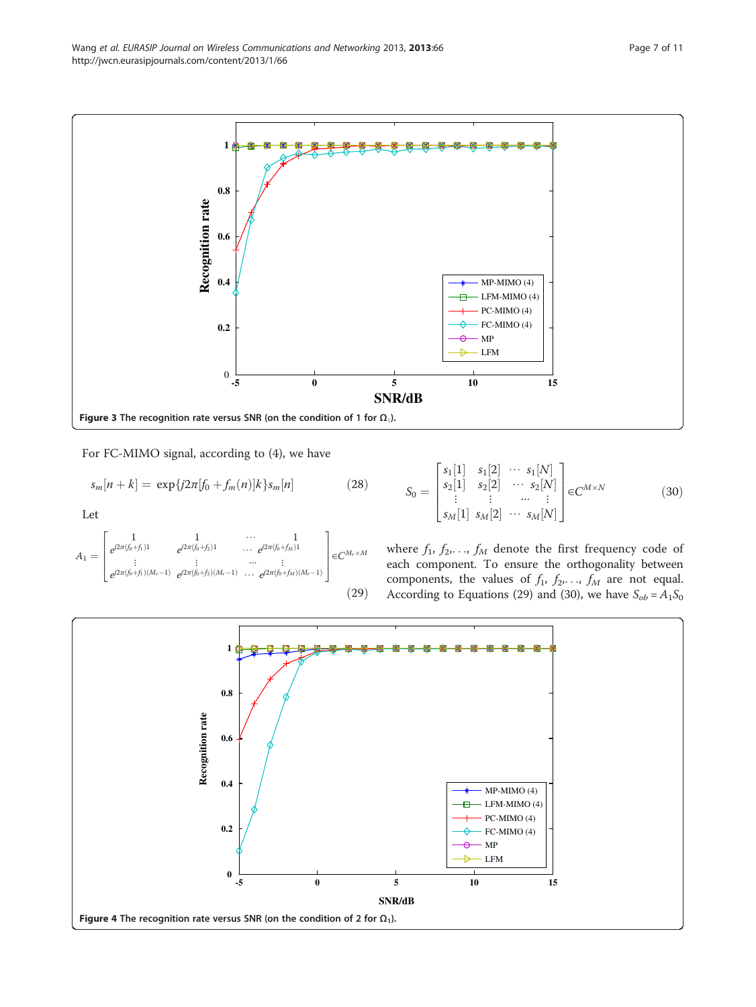<span id="page-6-0"></span>

For FC-MIMO signal, according to (4), we have

$$
s_m[n+k] = \exp\{j2\pi[f_0 + f_m(n)]k\} s_m[n] \tag{28}
$$

Let

$$
A_{1} = \begin{bmatrix} 1 & 1 & \cdots & 1 \\ e^{j2\pi(f_{0}+f_{1})1} & e^{j2\pi(f_{0}+f_{2})1} & \cdots & e^{j2\pi(f_{0}+f_{M})1} \\ \vdots & \vdots & \cdots & \vdots \\ e^{j2\pi(f_{0}+f_{1})(M_{r}-1)} & e^{j2\pi(f_{0}+f_{2})(M_{r}-1)} & \cdots & e^{j2\pi(f_{0}+f_{M})(M_{r}-1)} \end{bmatrix} \in C^{M_{r}\times M}
$$
\n
$$
(29)
$$

$$
S_0 = \begin{bmatrix} s_1[1] & s_1[2] & \cdots & s_1[N] \\ s_2[1] & s_2[2] & \cdots & s_2[N] \\ \vdots & \vdots & \cdots & \vdots \\ s_M[1] & s_M[2] & \cdots & s_M[N] \end{bmatrix} \in C^{M \times N}
$$
(30)

where  $f_1, f_2, \ldots, f_M$  denote the first frequency code of each component. To ensure the orthogonality between components, the values of  $f_1$ ,  $f_2$ ,...,  $f_M$  are not equal.<br>According to Equations (29) and (30) we have  $S = 4, S$ . According to Equations (29) and (30), we have  $S_{ob} = A_1 S_0$ 

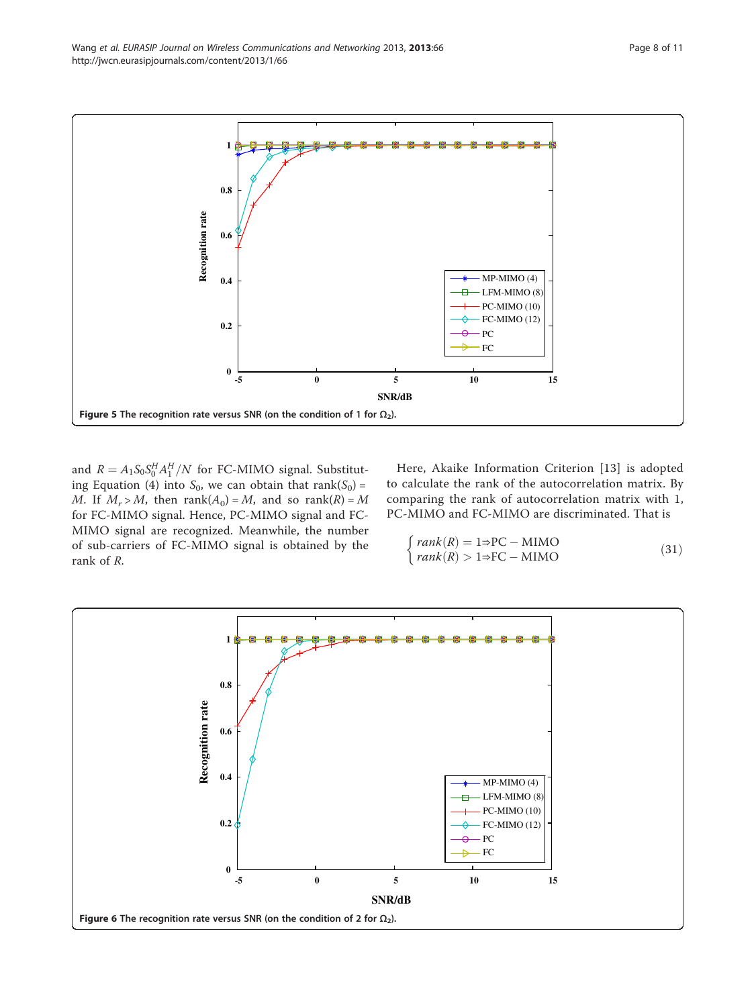<span id="page-7-0"></span>

and  $R = A_1 S_0 S_0^H A_1^H / N$  for FC-MIMO signal. Substitut-<br>ing Equation (4) into S, we can obtain that  $rank(S_1)$  $10^{A_1}$ ing Equation (4) into  $S_0$ , we can obtain that rank( $S_0$ ) = <br>*M* if  $M > M$  then rank( $A_0$ ) = *M* and so rank( $R$ ) = *M M*. If  $M_r > M$ , then rank $(A_0) = M$ , and so rank $(R) = M$ for FC-MIMO signal. Hence, PC-MIMO signal and FC-MIMO signal are recognized. Meanwhile, the number of sub-carriers of FC-MIMO signal is obtained by the rank of R.

Here, Akaike Information Criterion [[13](#page-10-0)] is adopted to calculate the rank of the autocorrelation matrix. By comparing the rank of autocorrelation matrix with 1, PC-MIMO and FC-MIMO are discriminated. That is

$$
\begin{cases}\n\text{rank}(R) = 1 \Rightarrow PC - MIMO \\
\text{rank}(R) > 1 \Rightarrow FC - MIMO\n\end{cases} \tag{31}
$$

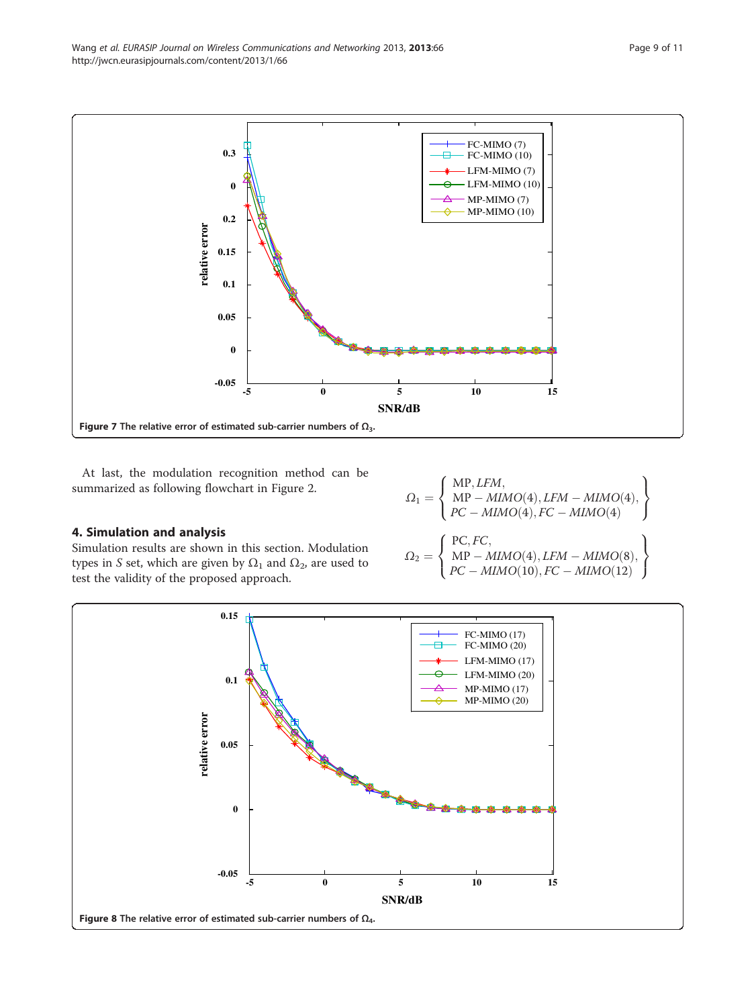<span id="page-8-0"></span>

At last, the modulation recognition method can be summarized as following flowchart in Figure [2](#page-4-0).

## 4. Simulation and analysis

Simulation results are shown in this section. Modulation types in S set, which are given by  $\Omega_1$  and  $\Omega_2$ , are used to test the validity of the proposed approach.

$$
\Omega_1 = \left\{ \begin{array}{l} \text{MP, LFM,} \\ \text{MP}-\text{MIMO}(4), \text{LFM}-\text{MIMO}(4), \\ \text{PC}-\text{MIMO}(4), \text{FC}-\text{MIMO}(4) \\ \text{NP}-\text{MIMO}(4), \text{LEM}-\text{MIMO}(8), \\ \text{PC}-\text{MIMO}(10), \text{FC}-\text{MIMO}(12) \end{array} \right\}
$$

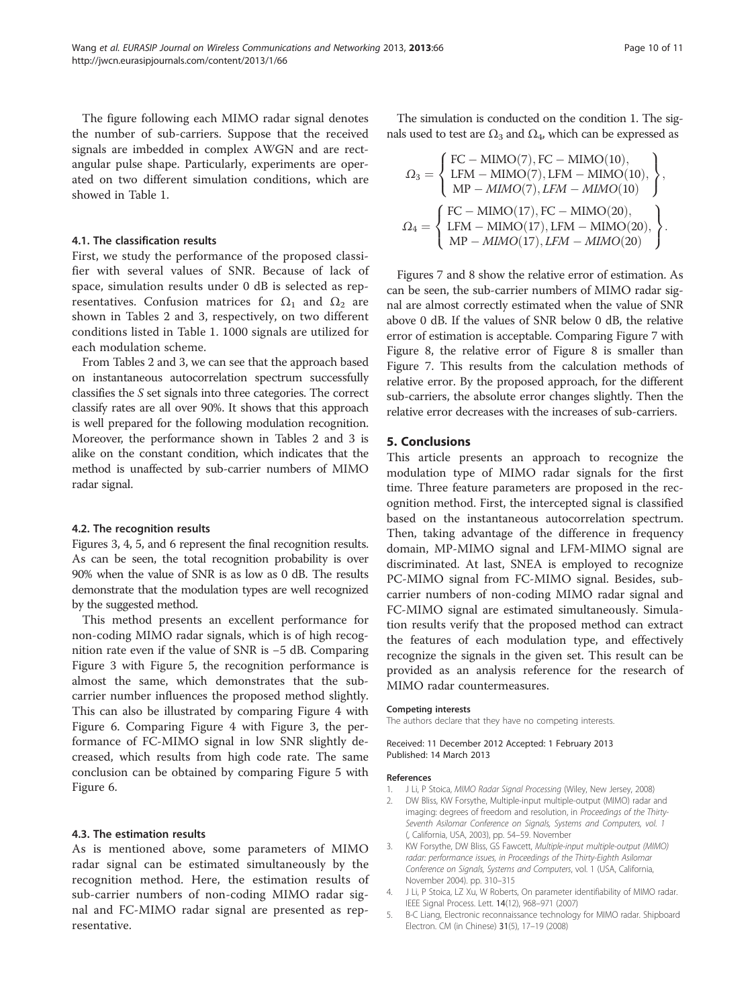<span id="page-9-0"></span>The figure following each MIMO radar signal denotes the number of sub-carriers. Suppose that the received signals are imbedded in complex AWGN and are rectangular pulse shape. Particularly, experiments are operated on two different simulation conditions, which are showed in Table [1](#page-5-0).

#### 4.1. The classification results

First, we study the performance of the proposed classifier with several values of SNR. Because of lack of space, simulation results under 0 dB is selected as representatives. Confusion matrices for  $\Omega_1$  and  $\Omega_2$  are shown in Tables [2](#page-5-0) and [3,](#page-5-0) respectively, on two different conditions listed in Table [1](#page-5-0). 1000 signals are utilized for each modulation scheme.

From Tables [2](#page-5-0) and [3](#page-5-0), we can see that the approach based on instantaneous autocorrelation spectrum successfully classifies the S set signals into three categories. The correct classify rates are all over 90%. It shows that this approach is well prepared for the following modulation recognition. Moreover, the performance shown in Tables [2](#page-5-0) and [3](#page-5-0) is alike on the constant condition, which indicates that the method is unaffected by sub-carrier numbers of MIMO radar signal.

#### 4.2. The recognition results

Figures [3, 4](#page-6-0), [5,](#page-7-0) and [6](#page-7-0) represent the final recognition results. As can be seen, the total recognition probability is over 90% when the value of SNR is as low as 0 dB. The results demonstrate that the modulation types are well recognized by the suggested method.

This method presents an excellent performance for non-coding MIMO radar signals, which is of high recognition rate even if the value of SNR is −5 dB. Comparing Figure [3](#page-6-0) with Figure [5](#page-7-0), the recognition performance is almost the same, which demonstrates that the subcarrier number influences the proposed method slightly. This can also be illustrated by comparing Figure [4](#page-6-0) with Figure [6](#page-7-0). Comparing Figure [4](#page-6-0) with Figure [3](#page-6-0), the performance of FC-MIMO signal in low SNR slightly decreased, which results from high code rate. The same conclusion can be obtained by comparing Figure [5](#page-7-0) with Figure [6](#page-7-0).

#### 4.3. The estimation results

As is mentioned above, some parameters of MIMO radar signal can be estimated simultaneously by the recognition method. Here, the estimation results of sub-carrier numbers of non-coding MIMO radar signal and FC-MIMO radar signal are presented as representative.

The simulation is conducted on the condition 1. The signals used to test are  $\Omega_3$  and  $\Omega_4$ , which can be expressed as

$$
\Omega_3 = \left\{ \begin{aligned} &\text{FC} - \text{MIMO}(7), \text{FC} - \text{MIMO}(10), \\ &\text{LFM} - \text{MIMO}(7), \text{LFM} - \text{MIMO}(10), \\ &\text{MP} - \text{MIMO}(7), \text{LEM} - \text{MIMO}(10) \end{aligned} \right\},
$$
 
$$
\Omega_4 = \left\{ \begin{aligned} &\text{FC} - \text{MIMO}(17), \text{FC} - \text{MIMO}(20), \\ &\text{LFM} - \text{MIMO}(17), \text{LEM} - \text{MIMO}(20), \\ &\text{MP} - \text{MIMO}(17), \text{LEM} - \text{MIMO}(20) \end{aligned} \right\}.
$$

Figures [7](#page-8-0) and [8](#page-8-0) show the relative error of estimation. As can be seen, the sub-carrier numbers of MIMO radar signal are almost correctly estimated when the value of SNR above 0 dB. If the values of SNR below 0 dB, the relative error of estimation is acceptable. Comparing Figure [7](#page-8-0) with Figure [8,](#page-8-0) the relative error of Figure [8](#page-8-0) is smaller than Figure [7.](#page-8-0) This results from the calculation methods of relative error. By the proposed approach, for the different sub-carriers, the absolute error changes slightly. Then the relative error decreases with the increases of sub-carriers.

### 5. Conclusions

This article presents an approach to recognize the modulation type of MIMO radar signals for the first time. Three feature parameters are proposed in the recognition method. First, the intercepted signal is classified based on the instantaneous autocorrelation spectrum. Then, taking advantage of the difference in frequency domain, MP-MIMO signal and LFM-MIMO signal are discriminated. At last, SNEA is employed to recognize PC-MIMO signal from FC-MIMO signal. Besides, subcarrier numbers of non-coding MIMO radar signal and FC-MIMO signal are estimated simultaneously. Simulation results verify that the proposed method can extract the features of each modulation type, and effectively recognize the signals in the given set. This result can be provided as an analysis reference for the research of MIMO radar countermeasures.

#### Competing interests

The authors declare that they have no competing interests.

Received: 11 December 2012 Accepted: 1 February 2013 Published: 14 March 2013

#### References

- 1. J Li, P Stoica, MIMO Radar Signal Processing (Wiley, New Jersey, 2008)
- 2. DW Bliss, KW Forsythe, Multiple-input multiple-output (MIMO) radar and imaging: degrees of freedom and resolution, in Proceedings of the Thirty-Seventh Asilomar Conference on Signals, Systems and Computers, vol. 1 (, California, USA, 2003), pp. 54–59. November
- 3. KW Forsythe, DW Bliss, GS Fawcett, Multiple-input multiple-output (MIMO) radar: performance issues, in Proceedings of the Thirty-Eighth Asilomar Conference on Signals, Systems and Computers, vol. 1 (USA, California, November 2004). pp. 310–315
- 4. J Li, P Stoica, LZ Xu, W Roberts, On parameter identifiability of MIMO radar. IEEE Signal Process. Lett. 14(12), 968–971 (2007)
- 5. B-C Liang, Electronic reconnaissance technology for MIMO radar. Shipboard Electron. CM (in Chinese) 31(5), 17–19 (2008)